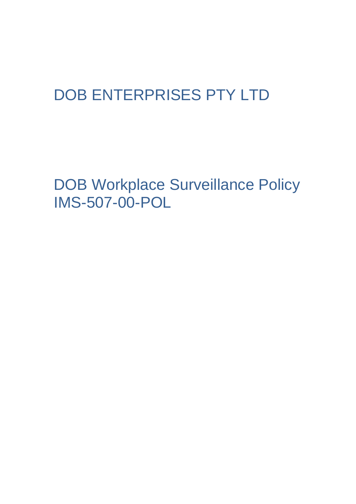# DOB ENTERPRISES PTY LTD

DOB Workplace Surveillance Policy IMS-507-00-POL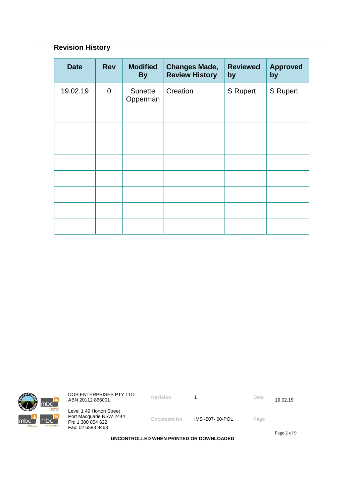# **Revision History**

| <b>Date</b> | <b>Rev</b>     | <b>Modified</b><br><b>By</b> | <b>Changes Made,</b><br><b>Review History</b> | <b>Reviewed</b><br>by | <b>Approved</b><br>by |
|-------------|----------------|------------------------------|-----------------------------------------------|-----------------------|-----------------------|
| 19.02.19    | $\overline{0}$ | Sunette<br>Opperman          | Creation                                      | S Rupert              | S Rupert              |
|             |                |                              |                                               |                       |                       |
|             |                |                              |                                               |                       |                       |
|             |                |                              |                                               |                       |                       |
|             |                |                              |                                               |                       |                       |
|             |                |                              |                                               |                       |                       |
|             |                |                              |                                               |                       |                       |
|             |                |                              |                                               |                       |                       |
|             |                |                              |                                               |                       |                       |



**DOB ENTERPRISES PTY LTD**<br>ABN 20112 866001 **Revision** 1 **Date** 19.02.19

Level 1 49 Horton Street Port Macquarie NSW 2444 Ph: 1 300 854 622 Fax: 02 6583 8468

**Document No** IMS -507- 00-POL **Page**

**UNCONTROLLED WHEN PRINTED OR DOWNLOADED**

Page 2 of 9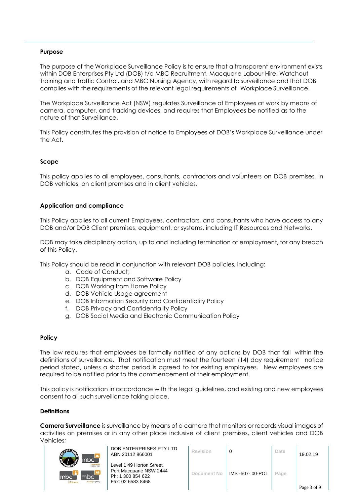#### **Purpose**

The purpose of the Workplace Surveillance Policy is to ensure that a transparent environment exists within DOB Enterprises Pty Ltd (DOB) t/a MBC Recruitment, Macquarie Labour Hire, Watchout Training and Traffic Control, and MBC Nursing Agency, with regard to surveillance and that DOB complies with the requirements of the relevant legal requirements of Workplace Surveillance.

The [Workplace Surveillance Act \(NSW\)](https://policies.westernsydney.edu.au/directory-summary.php?legislation=40) regulates Surveillance of Employees at work by means of camera, computer, and tracking devices, and requires that Employees be notified as to the nature of that Surveillance.

This Policy constitutes the provision of notice to Employees of DOB's Workplace Surveillance under the Act.

#### **Scope**

This policy applies to all employees, consultants, contractors and volunteers on DOB premises, in DOB vehicles, on client premises and in client vehicles.

#### **Application and compliance**

This Policy applies to all current Employees, contractors, and consultants who have access to any DOB and/or DOB Client premises, equipment, or systems, including IT Resources and Networks.

DOB may take disciplinary action, up to and including termination of employment, for any breach of this Policy.

This Policy should be read in conjunction with relevant DOB policies, including:

- a. [Code of Conduct;](https://policies.westernsydney.edu.au/document/view.current.php?id=72)
- b. DOB Equipment and Software Policy
- c. DOB Working from Home Policy
- d. DOB Vehicle Usage agreement
- e. DOB Information Security and Confidentiality Policy
- f. DOB Privacy and Confidentiality Policy
- g. DOB Social Media and Electronic Communication Policy

#### **Policy**

The law requires that employees be formally notified of any actions by DOB that fall within the definitions of surveillance. That notification must meet the fourteen (14) day requirement notice period stated, unless a shorter period is agreed to for existing employees. New employees are required to be notified prior to the commencement of their employment.

This policy is notification in accordance with the legal guidelines, and existing and new employees consent to all such surveillance taking place.

#### **Definitions**

**Camera Surveillance** is surveillance by means of a camera that monitors or records visual images of activities on premises or in any other place inclusive of client premises, client vehicles and DOB Vehicles;



DOB ENTERPRISES PTY LTD ABN 20112 866001 **Revision** <sup>0</sup> **Date** 19.02.19

| <b>Revision</b> |                 | Date | 19.02.19    |
|-----------------|-----------------|------|-------------|
| Document No     | IMS -507-00-POL | Page | Page 3 of 9 |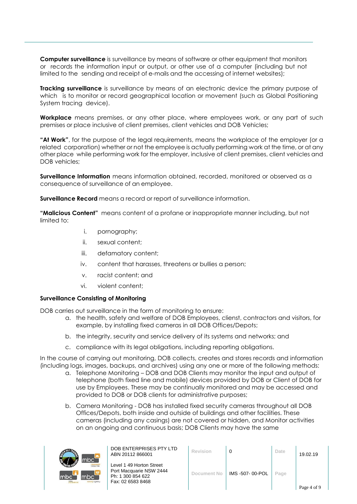**Computer surveillance** is surveillance by means of software or other equipment that monitors or records the information input or output, or other use of a computer (including but not limited to the sending and receipt of e-mails and the accessing of internet websites);

**Tracking surveillance** is surveillance by means of an electronic device the primary purpose of which is to monitor or record geographical location or movement (such as Global Positioning System tracing device).

**Workplace** means premises, or any other place, where employees work, or any part of such premises or place inclusive of client premises, client vehicles and DOB Vehicles;

**"At Work"**, for the purpose of the legal requirements, means the workplace of the employer (or a related corporation) whether or not the employee is actually performing work at the time, or at any other place while performing work for the employer, inclusive of client premises, client vehicles and DOB vehicles;

**Surveillance Information** means information obtained, recorded, monitored or observed as a consequence of surveillance of an employee.

**Surveillance Record** means a record or report of surveillance information.

**"Malicious Content"** means content of a profane or inappropriate manner including, but not limited to:

- i. pornography;
- ii. sexual content;
- iii. defamatory content;
- iv. content that harasses, threatens or bullies a person;
- v. racist content; and
- vi. violent content;

#### **Surveillance Consisting of Monitoring**

DOB carries out surveillance in the form of monitoring to ensure:

- a. the health, safety and welfare of DOB Employees, clienst, contractors and visitors, for example, by installing fixed cameras in all DOB Offices/Depots;
- b. the integrity, security and service delivery of its systems and networks; and
- c. compliance with its legal obligations, including reporting obligations.

In the course of carrying out monitoring, DOB collects, creates and stores records and information (including logs, images, backups, and archives) using any one or more of the following methods:

- a. Telephone Monitoring DOB and DOB Clients may monitor the input and output of telephone (both fixed line and mobile) devices provided by DOB or Client of DOB for use by Employees. These may be continually monitored and may be accessed and provided to DOB or DOB clients for administrative purposes;
- b. Camera Monitoring DOB has installed fixed security cameras throughout all DOB Offices/Depots, both inside and outside of buildings and other facilities. These cameras (including any casings) are not covered or hidden, and Monitor activities on an ongoing and continuous basis; DOB Clients may have the same



DOB ENTERPRISES PTY LTD ABN 20112 866001 **Revision** <sup>0</sup> **Date** 19.02.19

| <b>Revision</b>    |                 | Date | 19.02.19    |
|--------------------|-----------------|------|-------------|
| <b>Document No</b> | IMS -507-00-POL | Page | Page 4 of 9 |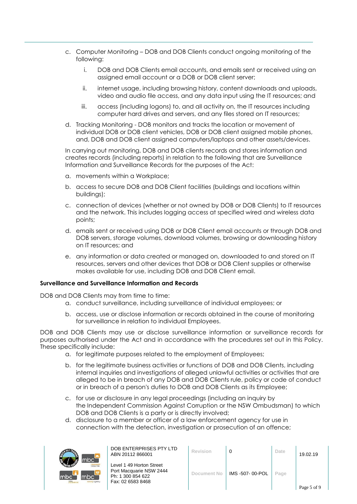- c. Computer Monitoring DOB and DOB Clients conduct ongoing monitoring of the following:
	- i. DOB and DOB Clients email accounts, and emails sent or received using an assigned email account or a DOB or DOB client server;
	- ii. internet usage, including browsing history, content downloads and uploads, video and audio file access, and any data input using the IT resources; and
	- iii. access (including logons) to, and all activity on, the IT resources including computer hard drives and servers, and any files stored on IT resources;
- d. Tracking Monitoring DOB monitors and tracks the location or movement of individual DOB or DOB client vehicles, DOB or DOB client assigned mobile phones, and, DOB and DOB client assigned computers/laptops and other assets/devices.

In carrying out monitoring, DOB and DOB clients records and stores information and creates records (including reports) in relation to the following that are Surveillance Information and Surveillance Records for the purposes of the Act:

- a. movements within a Workplace;
- b. access to secure DOB and DOB Client facilities (buildings and locations within buildings);
- c. connection of devices (whether or not owned by DOB or DOB Clients) to IT resources and the network. This includes logging access at specified wired and wireless data points;
- d. emails sent or received using DOB or DOB Client email accounts or through DOB and DOB servers, storage volumes, download volumes, browsing or downloading history on IT resources; and
- e. any information or data created or managed on, downloaded to and stored on IT resources, servers and other devices that DOB or DOB Client supplies or otherwise makes available for use, including DOB and DOB Client email.

#### **Surveillance and Surveillance Information and Records**

DOB and DOB Clients may from time to time:

- a. conduct surveillance, including surveillance of individual employees; or
- b. access, use or disclose information or records obtained in the course of monitoring for surveillance in relation to individual Employees.

DOB and DOB Clients may use or disclose surveillance information or surveillance records for purposes authorised under the Act and in accordance with the procedures set out in this Policy. These specifically include:

- a. for legitimate purposes related to the employment of Employees;
- b. for the legitimate business activities or functions of DOB and DOB Clients, including internal inquiries and investigations of alleged unlawful activities or activities that are alleged to be in breach of any DOB and DOB Clients rule, policy or code of conduct or in breach of a person's duties to DOB and DOB Clients as its Employee;
- c. for use or disclosure in any legal proceedings (including an inquiry by the [Independent Commission Against Corruption](https://policies.westernsydney.edu.au/download.php?id=133&version=1&associated) or the [NSW Ombudsman\)](https://policies.westernsydney.edu.au/download.php?id=188&version=2&associated) to which DOB and DOB Clients is a party or is directly involved;
- d. disclosure to a member or officer of a law enforcement agency for use in connection with the detection, investigation or prosecution of an offence;



DOB ENTERPRISES PTY LTD ABN 20112 866001 **Revision** <sup>0</sup> **Date** 19.02.19

| <b>Revision</b>    | 0              | Date | 19.02.19    |
|--------------------|----------------|------|-------------|
| <b>Document No</b> | IMS-507-00-POL | Page | Page 5 of 9 |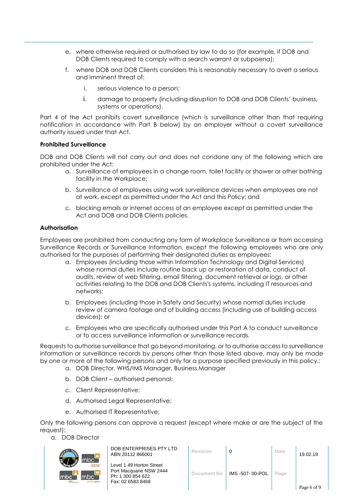- e. where otherwise required or authorised by law to do so (for example, if DOB and DOB Clients required to comply with a search warrant or subpoena);
- f. where DOB and DOB Clients considers this is reasonably necessary to avert a serious and imminent threat of:
	- i. serious violence to a person;
	- ii. damage to property (including disruption to DOB and DOB Clients' business, systems or operations).

Part 4 of the Act prohibits covert surveillance (which is surveillance other than that requiring notification in accordance with Part B below) by an employer without a covert surveillance authority issued under that Act.

#### **Prohibited Surveillance**

DOB and DOB Clients will not carry out and does not condone any of the following which are prohibited under the Act:

- a. Surveillance of employees in a change room, toilet facility or shower or other bathing facility in the Workplace;
- b. Surveillance of employees using work surveillance devices when employees are not at work, except as permitted under the Act and this Policy; and
- c. blocking emails or internet access of an employee except as permitted under the Act and DOB and DOB Clients policies.

#### **Authorisation**

Employees are prohibited from conducting any form of Workplace Surveillance or from accessing Surveillance Records or Surveillance Information, except the following employees who are only authorised for the purposes of performing their designated duties as employees:

- a. Employees (including those within Information Technology and Digital Services) whose normal duties include routine back up or restoration of data, conduct of audits, review of web filtering, email filtering, document retrieval or logs, or other activities relating to the DOB and DOB Clients's systems, including IT resources and networks;
- b. Employees (including those in Safety and Security) whose normal duties include review of camera footage and of building access (including use of building access devices); or
- c. Employees who are specifically authorised under this Part A to conduct surveillance or to access surveillance information or surveillance records.

Requests to authorise surveillance that go beyond monitoring, or to authorise access to surveillance information or surveillance records by persons other than those listed above, may only be made by one or more of the following persons and only for a purpose specified previously in this policy.:

- a. DOB Director, WHS/IMS Manager, Business Manager
- b. DOB Client authorised personal;
- c. Client Representative;
- d. Authorised Legal Representative;
- e. Authorised IT Representative;

Only the following persons can approve a request (except where make or are the subject of the request):

a. DOB Director



| DOB ENTERPRISES PTY LTD |
|-------------------------|
| ABN 20112 866001        |
|                         |

| DOB ENTERPRISES PTY LTD<br>ABN 20112 866001                                                   | Revision    | 0               | Date | 19.02.19    |
|-----------------------------------------------------------------------------------------------|-------------|-----------------|------|-------------|
| Level 1 49 Horton Street<br>Port Macquarie NSW 2444<br>Ph: 1 300 854 622<br>Fax: 02 6583 8468 | Document No | IMS -507-00-POL | Page | Page 6 of 9 |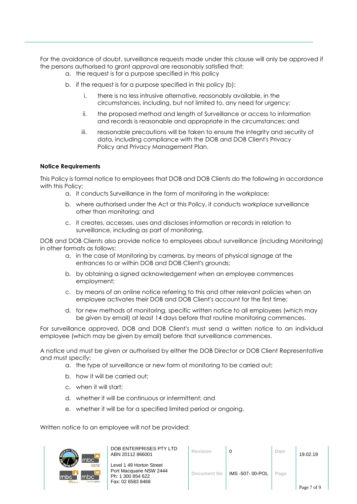For the avoidance of doubt, surveillance requests made under this clause will only be approved if the persons authorised to grant approval are reasonably satisfied that:

- a. the request is for a purpose specified in this policy
- b. if the request is for a purpose specified in this policy (b):
	- i. there is no less intrusive alternative, reasonably available, in the circumstances, including, but not limited to, any need for urgency;
	- ii. the proposed method and length of Surveillance or access to information and records is reasonable and appropriate in the circumstances; and
	- iii. reasonable precautions will be taken to ensure the integrity and security of data, including compliance with the DOB and DOB Client's [Privacy](https://policies.westernsydney.edu.au/document/view.current.php?id=108)  [Policy](https://policies.westernsydney.edu.au/document/view.current.php?id=108) and [Privacy Management Plan.](https://policies.westernsydney.edu.au/document/view.current.php?id=149)

## **Notice Requirements**

This Policy is formal notice to employees that DOB and DOB Clients do the following in accordance with this Policy:

- a. it conducts Surveillance in the form of monitoring in the workplace;
- b. where authorised under the Act or this Policy, it conducts workplace surveillance other than monitoring; and
- c. it creates, accesses, uses and discloses information or records in relation to surveillance, including as part of monitoring.

DOB and DOB Clients also provide notice to employees about surveillance (including Monitoring) in other formats as follows:

- a. in the case of Monitoring by cameras, by means of physical signage at the entrances to or within DOB and DOB Client's grounds;
- b. by obtaining a signed acknowledgement when an employee commences employment;
- c. by means of an online notice referring to this and other relevant policies when an employee activates their DOB and DOB Client's account for the first time;
- d. for new methods of monitoring, specific written notice to all employees (which may be given by email) at least 14 days before that routine monitoring commences.

For surveillance approved, DOB and DOB Client's must send a written notice to an individual employee (which may be given by email) before that surveillance commences.

A notice und must be given or authorised by either the DOB Director or DOB Client Representative and must specify:

- a. the type of surveillance or new form of monitoring to be carried out;
- b. how it will be carried out;
- c. when it will start;
- d. whether it will be continuous or intermittent; and
- e. whether it will be for a specified limited period or ongoing.

Written notice to an employee will not be provided:



DOB ENTERPRISES PTY LTD ABN 20112 866001 **Revision** <sup>0</sup> **Date** 19.02.19

| <b>Revision</b>    |                 | Date | 19.02.19    |
|--------------------|-----------------|------|-------------|
| <b>Document No</b> | IMS -507-00-POL | Page | Page 7 of 9 |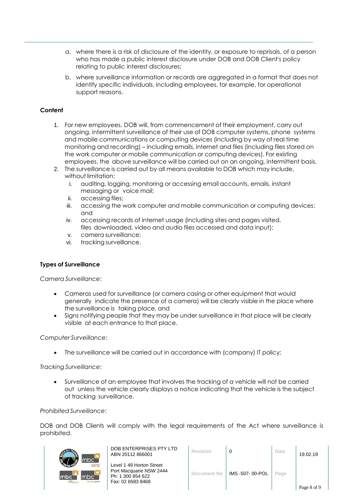- a. where there is a risk of disclosure of the identity, or exposure to reprisals, of a person who has made a public interest disclosure under DOB and DOB Client's policy relating to public interest disclosures;
- b. where surveillance information or records are aggregated in a format that does not identify specific individuals, including employees, for example, for operational support reasons.

# **Content**

- 1. For new employees, DOB will, from commencement of their employment, carry out ongoing, intermittent surveillance of their use of DOB computer systems, phone systems and mobile communications or computing devices (including by way of real time monitoring and recording) – including emails, internet and files (including files stored on the work computer or mobile communication or computing devices). For existing employees, the above surveillance will be carried out on an ongoing, intermittent basis.
- 2. The surveillance is carried out by all means available to DOB which may include, without limitation:
	- i. auditing, logging, monitoring or accessing email accounts, emails, instant messaging or voice mail;
	- ii. accessing files;
	- iii. accessing the work computer and mobile communication or computing devices; and
	- iv. accessing records of internet usage (including sites and pages visited, files downloaded, video and audio files accessed and data input);
	- v. camera surveillance;
	- vi. tracking surveillance.

# **Types of Surveillance**

*Camera Surveillance*:

- Cameras used for surveillance (or camera casing or other equipment that would generally indicate the presence of a camera) will be clearly visible in the place where the surveillance is taking place, and
- Signs notifying people that they may be under surveillance in that place will be clearly visible at each entrance to that place.

#### *Computer Surveillance*:

• The surveillance will be carried out in accordance with (company) IT policy;

*Tracking Surveillance*:

• Surveillance of an employee that involves the tracking of a vehicle will not be carried out unless the vehicle clearly displays a notice indicating that the vehicle is the subject of tracking surveillance.

#### *Prohibited Surveillance*:

DOB and DOB Clients will comply with the legal requirements of the Act where surveillance is prohibited.



DOB ENTERPRISES PTY LTD ABN 20112 866001 **Revision** <sup>0</sup> **Date** 19.02.19

| <b>Revision</b> |                | Date | 19.02.19    |
|-----------------|----------------|------|-------------|
| Document No     | IMS-507-00-POL | Page | Page 8 of 9 |